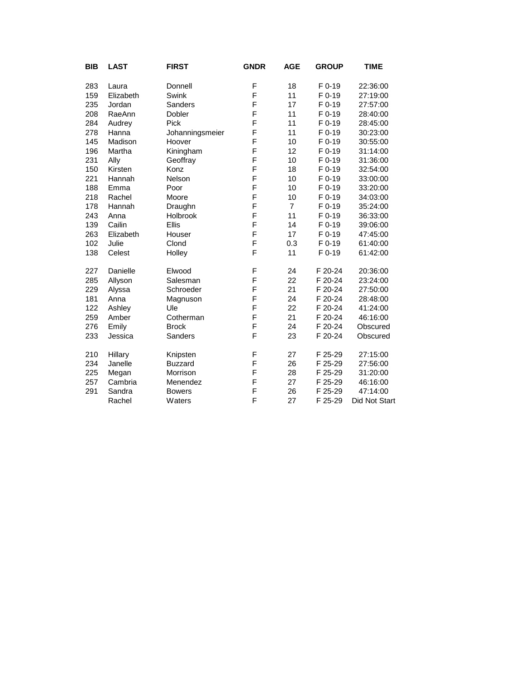| BIB | <b>LAST</b> | <b>FIRST</b>    | <b>GNDR</b> | <b>AGE</b>     | <b>GROUP</b> | <b>TIME</b>   |
|-----|-------------|-----------------|-------------|----------------|--------------|---------------|
| 283 | Laura       | Donnell         | F           | 18             | $F$ 0-19     | 22:36:00      |
| 159 | Elizabeth   | Swink           | F           | 11             | $F_{0-19}$   | 27:19:00      |
| 235 | Jordan      | Sanders         | F           | 17             | $F_{0-19}$   | 27:57:00      |
| 208 | RaeAnn      | Dobler          | F           | 11             | F 0-19       | 28:40:00      |
| 284 | Audrey      | Pick            | F           | 11             | $F$ 0-19     | 28:45:00      |
| 278 | Hanna       | Johanningsmeier | F           | 11             | $F$ 0-19     | 30:23:00      |
| 145 | Madison     | Hoover          | F           | 10             | F 0-19       | 30:55:00      |
| 196 | Martha      | Kiningham       | F           | 12             | $F_{0-19}$   | 31:14:00      |
| 231 | Ally        | Geoffray        | F           | 10             | $F_{0-19}$   | 31:36:00      |
| 150 | Kirsten     | Konz            | F           | 18             | F 0-19       | 32:54:00      |
| 221 | Hannah      | Nelson          | F           | 10             | F 0-19       | 33:00:00      |
| 188 | Emma        | Poor            | F           | 10             | $F_{0-19}$   | 33:20:00      |
| 218 | Rachel      | Moore           | F           | 10             | $F_{0-19}$   | 34:03:00      |
| 178 | Hannah      | Draughn         | F           | $\overline{7}$ | F 0-19       | 35:24:00      |
| 243 | Anna        | Holbrook        | F           | 11             | $F_{0-19}$   | 36:33:00      |
| 139 | Cailin      | <b>Ellis</b>    | F           | 14             | $F$ 0-19     | 39:06:00      |
| 263 | Elizabeth   | Houser          | F           | 17             | F 0-19       | 47:45:00      |
| 102 | Julie       | Clond           | F           | 0.3            | F 0-19       | 61:40:00      |
| 138 | Celest      | Holley          | F           | 11             | $F$ 0-19     | 61:42:00      |
| 227 | Danielle    | Elwood          | F           | 24             | F 20-24      | 20:36:00      |
| 285 | Allyson     | Salesman        | F           | 22             | F 20-24      | 23:24:00      |
| 229 | Alyssa      | Schroeder       | F           | 21             | F 20-24      | 27:50:00      |
| 181 | Anna        | Magnuson        | F           | 24             | F 20-24      | 28:48:00      |
| 122 | Ashley      | Ule             | F           | 22             | F 20-24      | 41:24:00      |
| 259 | Amber       | Cotherman       | F           | 21             | F 20-24      | 46:16:00      |
| 276 | Emily       | <b>Brock</b>    | F           | 24             | F 20-24      | Obscured      |
| 233 | Jessica     | Sanders         | F           | 23             | F 20-24      | Obscured      |
| 210 | Hillary     | Knipsten        | F           | 27             | F 25-29      | 27:15:00      |
| 234 | Janelle     | <b>Buzzard</b>  | F           | 26             | F 25-29      | 27:56:00      |
| 225 | Megan       | Morrison        | F           | 28             | F 25-29      | 31:20:00      |
| 257 | Cambria     | Menendez        | F           | 27             | F 25-29      | 46:16:00      |
| 291 | Sandra      | <b>Bowers</b>   | F           | 26             | F 25-29      | 47:14:00      |
|     | Rachel      | Waters          | F           | 27             | F 25-29      | Did Not Start |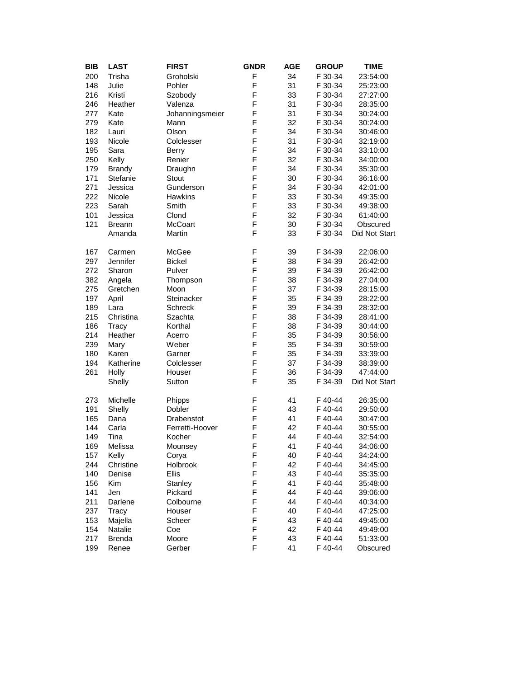| BIB | <b>LAST</b>   | <b>FIRST</b>    | <b>GNDR</b> | <b>AGE</b> | <b>GROUP</b> | <b>TIME</b>   |  |
|-----|---------------|-----------------|-------------|------------|--------------|---------------|--|
| 200 | Trisha        | Groholski       | F           | 34         | F 30-34      | 23:54:00      |  |
| 148 | Julie         | Pohler          | F           | 31         | F 30-34      | 25:23:00      |  |
| 216 | Kristi        | Szobody         | F           | 33         | F 30-34      | 27:27:00      |  |
| 246 | Heather       | Valenza         | F           | 31         | F 30-34      | 28:35:00      |  |
| 277 | Kate          | Johanningsmeier | F           | 31         | F 30-34      | 30:24:00      |  |
| 279 | Kate          | Mann            | F           | 32         | F 30-34      | 30:24:00      |  |
| 182 | Lauri         | Olson           | F           | 34         | F 30-34      | 30:46:00      |  |
| 193 | Nicole        | Colclesser      | F           | 31         | F 30-34      | 32:19:00      |  |
| 195 | Sara          | <b>Berry</b>    | F           | 34         | F 30-34      | 33:10:00      |  |
| 250 | Kelly         | Renier          | F           | 32         | F 30-34      | 34:00:00      |  |
| 179 | <b>Brandy</b> | Draughn         | F           | 34         | F 30-34      | 35:30:00      |  |
| 171 | Stefanie      | Stout           | F           | 30         | F 30-34      | 36:16:00      |  |
| 271 | Jessica       | Gunderson       | F           | 34         | F 30-34      | 42:01:00      |  |
| 222 | Nicole        | Hawkins         | F           | 33         | F 30-34      | 49:35:00      |  |
| 223 | Sarah         | Smith           | F           | 33         | F 30-34      | 49:38:00      |  |
| 101 | Jessica       | Clond           | F           | 32         | F 30-34      | 61:40:00      |  |
| 121 | <b>Breann</b> | <b>McCoart</b>  | F           | 30         | F 30-34      | Obscured      |  |
|     | Amanda        | Martin          | F           | 33         | F 30-34      | Did Not Start |  |
|     |               |                 |             |            |              |               |  |
| 167 | Carmen        | McGee           | F           | 39         | F 34-39      | 22:06:00      |  |
| 297 | Jennifer      | <b>Bickel</b>   | F           | 38         | F 34-39      | 26:42:00      |  |
| 272 | Sharon        | Pulver          | F           | 39         | F 34-39      | 26:42:00      |  |
| 382 | Angela        | Thompson        | F           | 38         | F 34-39      | 27:04:00      |  |
| 275 | Gretchen      | Moon            | F           | 37         | F 34-39      | 28:15:00      |  |
| 197 | April         | Steinacker      | F           | 35         | F 34-39      | 28:22:00      |  |
| 189 | Lara          | Schreck         | F           | 39         | F 34-39      | 28:32:00      |  |
| 215 | Christina     | Szachta         | F           | 38         | F 34-39      | 28:41:00      |  |
| 186 | <b>Tracy</b>  | Korthal         | F           | 38         | F 34-39      | 30:44:00      |  |
| 214 | Heather       | Acerro          | F           | 35         | F 34-39      | 30:56:00      |  |
| 239 | Mary          | Weber           | F           | 35         | F 34-39      | 30:59:00      |  |
| 180 | Karen         | Garner          | F           | 35         | F 34-39      | 33:39:00      |  |
| 194 | Katherine     | Colclesser      | F           | 37         | F 34-39      | 38:39:00      |  |
| 261 | Holly         | Houser          | F           | 36         | F 34-39      | 47:44:00      |  |
|     | Shelly        | Sutton          | F           | 35         | F 34-39      | Did Not Start |  |
|     |               |                 |             |            |              |               |  |
| 273 | Michelle      | Phipps          | F           | 41         | F 40-44      | 26:35:00      |  |
| 191 | Shelly        | Dobler          | F           | 43         | F 40-44      | 29:50:00      |  |
| 165 | Dana          | Drabenstot      | F           | 41         | F 40-44      | 30:47:00      |  |
| 144 | Carla         | Ferretti-Hoover | F           | 42         | F 40-44      | 30:55:00      |  |
| 149 | Tina          | Kocher          | F           | 44         | F 40-44      | 32:54:00      |  |
| 169 | Melissa       | Mounsey         | F           | 41         | F 40-44      | 34:06:00      |  |
| 157 | Kelly         | Corya           | F           | 40         | F 40-44      | 34:24:00      |  |
| 244 | Christine     | Holbrook        | F           | 42         | F 40-44      | 34:45:00      |  |
| 140 | Denise        | <b>Ellis</b>    | F           | 43         | F 40-44      | 35:35:00      |  |
| 156 | Kim           | Stanley         | F           | 41         | F 40-44      | 35:48:00      |  |
| 141 | Jen           | Pickard         | F           | 44         | F 40-44      | 39:06:00      |  |
| 211 | Darlene       | Colbourne       | F           | 44         | F 40-44      | 40:34:00      |  |
| 237 | Tracy         | Houser          | F           | 40         | F 40-44      | 47:25:00      |  |
| 153 | Majella       | Scheer          | F           | 43         | F 40-44      | 49:45:00      |  |
| 154 | Natalie       | Coe             | F           | 42         | F 40-44      | 49:49:00      |  |
| 217 | <b>Brenda</b> | Moore           | F           | 43         | F 40-44      | 51:33:00      |  |
| 199 | Renee         | Gerber          | F           | 41         | F 40-44      | Obscured      |  |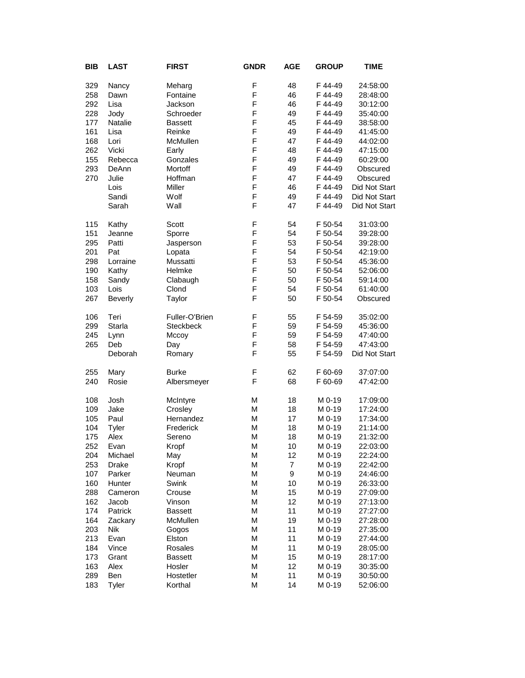| <b>BIB</b> | <b>LAST</b>    | <b>FIRST</b>   | <b>GNDR</b> | <b>AGE</b>       | <b>GROUP</b>       | TIME          |
|------------|----------------|----------------|-------------|------------------|--------------------|---------------|
| 329        | Nancy          | Meharg         | F           | 48               | F 44-49            | 24:58:00      |
| 258        | Dawn           | Fontaine       | F           | 46               | F 44-49            | 28:48:00      |
| 292        | Lisa           | Jackson        | F           | 46               | F 44-49            | 30:12:00      |
| 228        | Jody           | Schroeder      | F           | 49               | F 44-49            | 35:40:00      |
| 177        |                | <b>Bassett</b> | F           | 45               | F 44-49            |               |
|            | Natalie        |                | F           |                  | F 44-49            | 38:58:00      |
| 161        | Lisa           | Reinke         |             | 49               |                    | 41:45:00      |
| 168        | Lori<br>Vicki  | McMullen       | F<br>F      | 47               | F 44-49<br>F 44-49 | 44:02:00      |
| 262        |                | Early          | F           | 48<br>49         |                    | 47:15:00      |
| 155        | Rebecca        | Gonzales       | F           |                  | F 44-49            | 60:29:00      |
| 293        | DeAnn          | Mortoff        |             | 49               | F 44-49            | Obscured      |
| 270        | Julie          | Hoffman        | F<br>F      | 47               | F 44-49<br>F 44-49 | Obscured      |
|            | Lois           | Miller         |             | 46               |                    | Did Not Start |
|            | Sandi          | Wolf           | F           | 49               | F 44-49            | Did Not Start |
|            | Sarah          | Wall           | F           | 47               | F 44-49            | Did Not Start |
| 115        | Kathy          | Scott          | F           | 54               | F 50-54            | 31:03:00      |
| 151        | Jeanne         | Sporre         | F           | 54               | F 50-54            | 39:28:00      |
| 295        | Patti          | Jasperson      | F           | 53               | F 50-54            | 39:28:00      |
| 201        | Pat            | Lopata         | F           | 54               | F 50-54            | 42:19:00      |
| 298        | Lorraine       | Mussatti       | F           | 53               | F 50-54            | 45:36:00      |
| 190        | Kathy          | Helmke         | F           | 50               | F 50-54            | 52:06:00      |
| 158        | Sandy          | Clabaugh       | F           | 50               | F 50-54            | 59:14:00      |
| 103        | Lois           | Clond          | F           | 54               | F 50-54            | 61:40:00      |
| 267        | <b>Beverly</b> | Taylor         | F           | 50               | F 50-54            | Obscured      |
| 106        | Teri           | Fuller-O'Brien | F           | 55               | F 54-59            | 35:02:00      |
| 299        | Starla         | Steckbeck      | F           | 59               | F 54-59            | 45:36:00      |
| 245        | Lynn           | Mccoy          | F           | 59               | F 54-59            | 47:40:00      |
| 265        | Deb            | Day            | F           | 58               | F 54-59            | 47:43:00      |
|            | Deborah        | Romary         | F           | 55               | F 54-59            | Did Not Start |
| 255        | Mary           | <b>Burke</b>   | F           | 62               | F 60-69            | 37:07:00      |
| 240        | Rosie          | Albersmeyer    | F           | 68               | F 60-69            | 47:42:00      |
| 108        | Josh           | McIntyre       | M           | 18               | M 0-19             | 17:09:00      |
| 109        | Jake           | Crosley        | M           | 18               | M 0-19             | 17:24:00      |
| 105        | Paul           | Hernandez      | М           | 17               | M 0-19             | 17:34:00      |
| 104        | Tyler          | Frederick      | М           | 18               | M 0-19             | 21:14:00      |
| 175        | Alex           | Sereno         | M           | 18               | M 0-19             | 21:32:00      |
| 252        | Evan           | Kropf          | M           | 10               | M 0-19             | 22:03:00      |
| 204        | Michael        | May            | M           | 12               | M 0-19             | 22:24:00      |
| 253        | Drake          | Kropf          | М           | $\boldsymbol{7}$ | M 0-19             | 22:42:00      |
| 107        | Parker         | Neuman         | М           | 9                | M 0-19             | 24:46:00      |
| 160        | Hunter         | Swink          | M           | 10               | M 0-19             | 26:33:00      |
| 288        | Cameron        | Crouse         | M           | 15               | M 0-19             | 27:09:00      |
| 162        | Jacob          | Vinson         | М           | 12               | M 0-19             | 27:13:00      |
| 174        | Patrick        | <b>Bassett</b> | М           | 11               | M 0-19             | 27:27:00      |
| 164        | Zackary        | McMullen       | М           | 19               | M 0-19             | 27:28:00      |
| 203        | Nik            | Gogos          | M           | 11               | M 0-19             | 27:35:00      |
| 213        | Evan           | Elston         | М           | 11               | M 0-19             | 27:44:00      |
| 184        | Vince          | Rosales        | М           | 11               | M 0-19             | 28:05:00      |
| 173        | Grant          | <b>Bassett</b> | М           | 15               | M 0-19             | 28:17:00      |
| 163        | Alex           | Hosler         | М           | 12               | M 0-19             | 30:35:00      |
| 289        | Ben            | Hostetler      | M           | 11               | M 0-19             | 30:50:00      |
| 183        | Tyler          | Korthal        | M           | 14               | M 0-19             | 52:06:00      |
|            |                |                |             |                  |                    |               |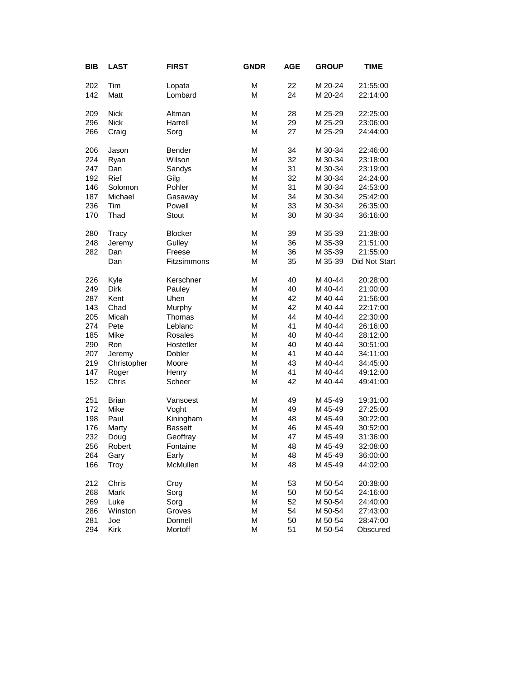| <b>BIB</b> | <b>LAST</b>  | <b>FIRST</b>   | <b>GNDR</b> | <b>AGE</b> | <b>GROUP</b> | <b>TIME</b>   |
|------------|--------------|----------------|-------------|------------|--------------|---------------|
| 202        | Tim          | Lopata         | M           | 22         | M 20-24      | 21:55:00      |
| 142        | Matt         | Lombard        | M           | 24         | M 20-24      | 22:14:00      |
| 209        | <b>Nick</b>  | Altman         | M           | 28         | M 25-29      | 22:25:00      |
| 296        | <b>Nick</b>  | Harrell        | M           | 29         | M 25-29      | 23:06:00      |
| 266        | Craig        | Sorg           | M           | 27         | M 25-29      | 24:44:00      |
| 206        | Jason        | Bender         | M           | 34         | M 30-34      | 22:46:00      |
| 224        | Ryan         | Wilson         | M           | 32         | M 30-34      | 23:18:00      |
| 247        | Dan          | Sandys         | M           | 31         | M 30-34      | 23:19:00      |
| 192        | <b>Rief</b>  | Gilg           | M           | 32         | M 30-34      | 24:24:00      |
| 146        | Solomon      | Pohler         | M           | 31         | M 30-34      | 24:53:00      |
| 187        | Michael      | Gasaway        | M           | 34         | M 30-34      | 25:42:00      |
| 236        | Tim          | Powell         | M           | 33         | M 30-34      | 26:35:00      |
| 170        | Thad         | Stout          | M           | 30         | M 30-34      | 36:16:00      |
| 280        | Tracy        | <b>Blocker</b> | M           | 39         | M 35-39      | 21:38:00      |
| 248        | Jeremy       | Gulley         | M           | 36         | M 35-39      | 21:51:00      |
| 282        | Dan          | Freese         | M           | 36         | M 35-39      | 21:55:00      |
|            | Dan          | Fitzsimmons    | M           | 35         | M 35-39      | Did Not Start |
| 226        | Kyle         | Kerschner      | M           | 40         | M 40-44      | 20:28:00      |
| 249        | Dirk         | Pauley         | M           | 40         | M 40-44      | 21:00:00      |
| 287        | Kent         | Uhen           | M           | 42         | M 40-44      | 21:56:00      |
| 143        | Chad         | Murphy         | M           | 42         | M 40-44      | 22:17:00      |
| 205        | Micah        | Thomas         | M           | 44         | M 40-44      | 22:30:00      |
| 274        | Pete         | Leblanc        | M           | 41         | M 40-44      | 26:16:00      |
| 185        | Mike         | <b>Rosales</b> | M           | 40         | M 40-44      | 28:12:00      |
| 290        | Ron          | Hostetler      | M           | 40         | M 40-44      | 30:51:00      |
| 207        | Jeremy       | Dobler         | M           | 41         | M 40-44      | 34:11:00      |
| 219        | Christopher  | Moore          | M           | 43         | M 40-44      | 34:45:00      |
| 147        | Roger        | Henry          | M           | 41         | M 40-44      | 49:12:00      |
| 152        | Chris        | Scheer         | M           | 42         | M 40-44      | 49:41:00      |
| 251        | <b>Brian</b> | Vansoest       | M           | 49         | M 45-49      | 19:31:00      |
| 172        | Mike         | Voght          | M           | 49         | M 45-49      | 27:25:00      |
| 198        | Paul         | Kiningham      | M           | 48         | M 45-49      | 30:22:00      |
| 176        | Marty        | <b>Bassett</b> | M           | 46         | M 45-49      | 30:52:00      |
| 232        | Doug         | Geoffray       | M           | 47         | M 45-49      | 31:36:00      |
| 256        | Robert       | Fontaine       | M           | 48         | M 45-49      | 32:08:00      |
| 264        | Gary         | Early          | М           | 48         | M 45-49      | 36:00:00      |
| 166        | Troy         | McMullen       | M           | 48         | M 45-49      | 44:02:00      |
| 212        | Chris        | Croy           | M           | 53         | M 50-54      | 20:38:00      |
| 268        | Mark         | Sorg           | M           | 50         | M 50-54      | 24:16:00      |
| 269        | Luke         | Sorg           | M           | 52         | M 50-54      | 24:40:00      |
| 286        | Winston      | Groves         | М           | 54         | M 50-54      | 27:43:00      |
| 281        | Joe          | Donnell        | M           | 50         | M 50-54      | 28:47:00      |
| 294        | Kirk         | Mortoff        | M           | 51         | M 50-54      | Obscured      |